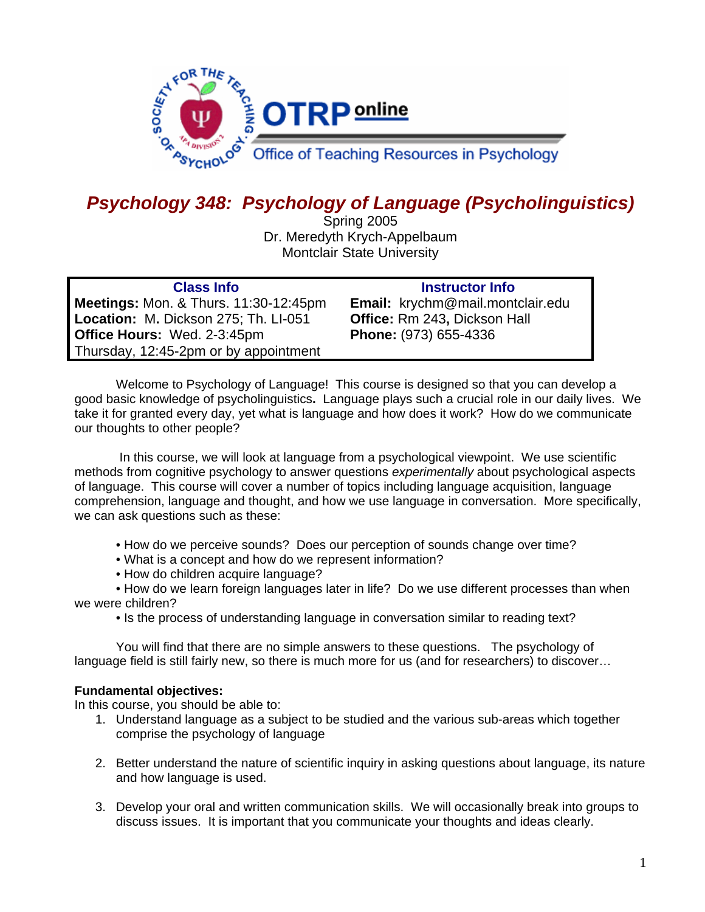

# *Psychology 348: Psychology of Language (Psycholinguistics)*

Spring 2005 Dr. Meredyth Krych-Appelbaum Montclair State University

| <b>Class Info</b>                                | <b>Instructor Info</b>           |
|--------------------------------------------------|----------------------------------|
| <b>Meetings: Mon. &amp; Thurs. 11:30-12:45pm</b> | Email: krychm@mail.montclair.edu |
| Location: M. Dickson 275; Th. LI-051             | Office: Rm 243, Dickson Hall     |
| <b>Office Hours: Wed. 2-3:45pm</b>               | Phone: (973) 655-4336            |
| Thursday, 12:45-2pm or by appointment            |                                  |

Welcome to Psychology of Language! This course is designed so that you can develop a good basic knowledge of psycholinguistics**.** Language plays such a crucial role in our daily lives. We take it for granted every day, yet what is language and how does it work? How do we communicate our thoughts to other people?

 In this course, we will look at language from a psychological viewpoint. We use scientific methods from cognitive psychology to answer questions *experimentally* about psychological aspects of language. This course will cover a number of topics including language acquisition, language comprehension, language and thought, and how we use language in conversation. More specifically, we can ask questions such as these:

- How do we perceive sounds? Does our perception of sounds change over time?
- What is a concept and how do we represent information?
- How do children acquire language?

• How do we learn foreign languages later in life? Do we use different processes than when we were children?

• Is the process of understanding language in conversation similar to reading text?

 You will find that there are no simple answers to these questions. The psychology of language field is still fairly new, so there is much more for us (and for researchers) to discover…

## **Fundamental objectives:**

In this course, you should be able to:

- 1. Understand language as a subject to be studied and the various sub-areas which together comprise the psychology of language
- 2. Better understand the nature of scientific inquiry in asking questions about language, its nature and how language is used.
- 3. Develop your oral and written communication skills. We will occasionally break into groups to discuss issues. It is important that you communicate your thoughts and ideas clearly.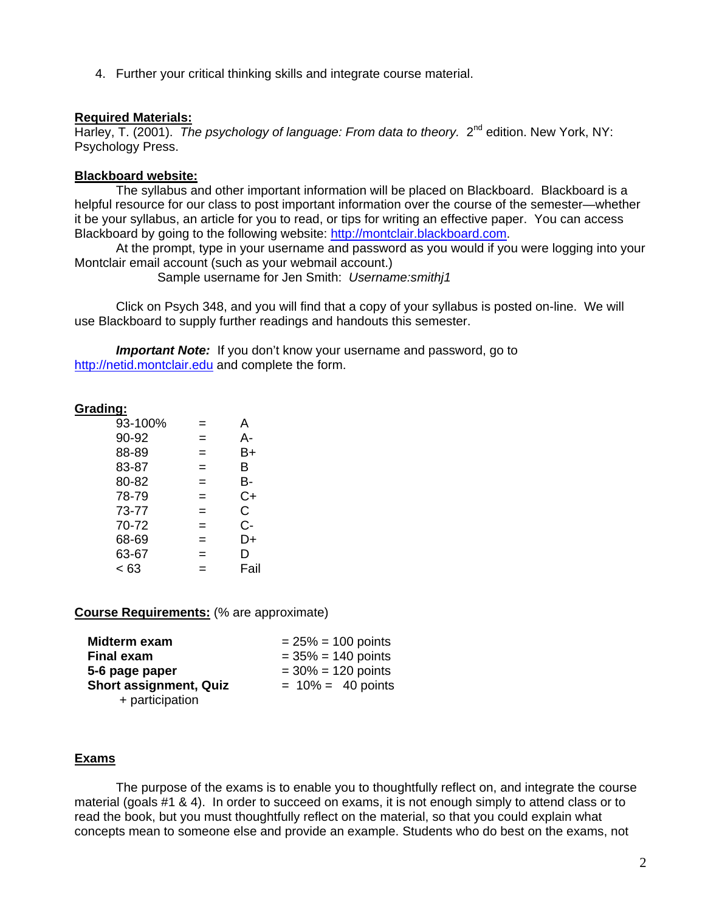4. Further your critical thinking skills and integrate course material.

## **Required Materials:**

Harley, T. (2001). *The psychology of language: From data to theory.* 2<sup>nd</sup> edition. New York, NY: Psychology Press.

## **Blackboard website:**

The syllabus and other important information will be placed on Blackboard. Blackboard is a helpful resource for our class to post important information over the course of the semester—whether it be your syllabus, an article for you to read, or tips for writing an effective paper. You can access Blackboard by going to the following website: http://montclair.blackboard.com.

At the prompt, type in your username and password as you would if you were logging into your Montclair email account (such as your webmail account.)

Sample username for Jen Smith: *Username:smithj1* 

Click on Psych 348, and you will find that a copy of your syllabus is posted on-line. We will use Blackboard to supply further readings and handouts this semester.

*Important Note:* If you don't know your username and password, go to http://netid.montclair.edu and complete the form.

## **Grading:**

| 93-100% |     | A    |
|---------|-----|------|
| 90-92   | =   | А-   |
| 88-89   | $=$ | B+   |
| 83-87   | =   | B    |
| 80-82   | =   | В-   |
| 78-79   | $=$ | C+   |
| 73-77   | $=$ | C.   |
| 70-72   | $=$ | C-   |
| 68-69   | $=$ | D+   |
| 63-67   | $=$ | D    |
| < 63    | $=$ | Fail |

**Course Requirements:** (% are approximate)

| Midterm exam                  | $= 25\% = 100$ points |
|-------------------------------|-----------------------|
| <b>Final exam</b>             | $= 35\% = 140$ points |
| 5-6 page paper                | $= 30\% = 120$ points |
| <b>Short assignment, Quiz</b> | $= 10\% = 40$ points  |
| + participation               |                       |

## **Exams**

The purpose of the exams is to enable you to thoughtfully reflect on, and integrate the course material (goals #1 & 4). In order to succeed on exams, it is not enough simply to attend class or to read the book, but you must thoughtfully reflect on the material, so that you could explain what concepts mean to someone else and provide an example. Students who do best on the exams, not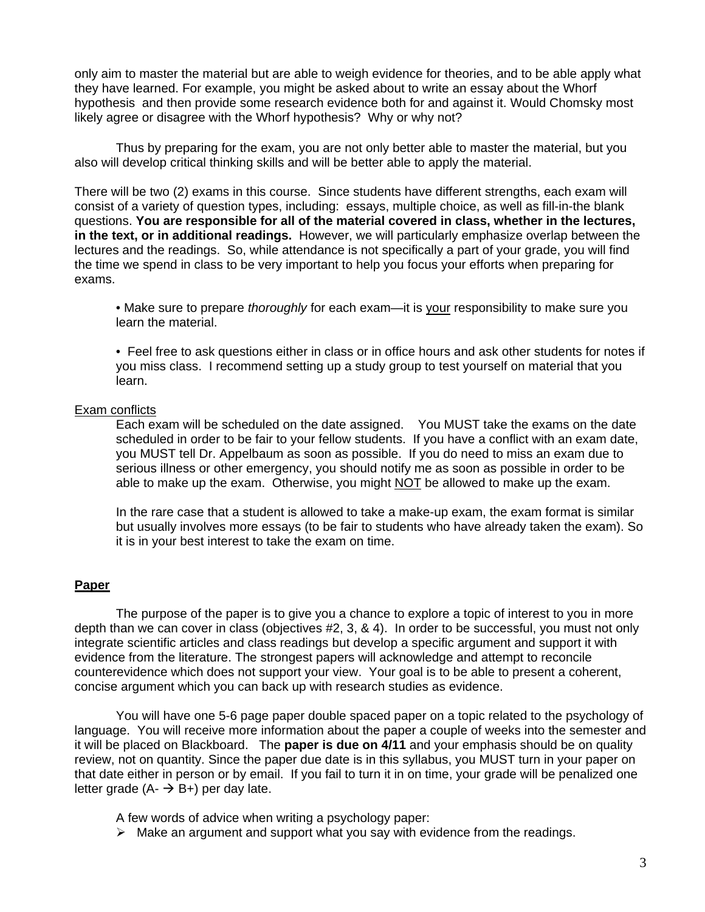only aim to master the material but are able to weigh evidence for theories, and to be able apply what they have learned. For example, you might be asked about to write an essay about the Whorf hypothesis and then provide some research evidence both for and against it. Would Chomsky most likely agree or disagree with the Whorf hypothesis? Why or why not?

Thus by preparing for the exam, you are not only better able to master the material, but you also will develop critical thinking skills and will be better able to apply the material.

There will be two (2) exams in this course. Since students have different strengths, each exam will consist of a variety of question types, including: essays, multiple choice, as well as fill-in-the blank questions. **You are responsible for all of the material covered in class, whether in the lectures, in the text, or in additional readings.** However, we will particularly emphasize overlap between the lectures and the readings. So, while attendance is not specifically a part of your grade, you will find the time we spend in class to be very important to help you focus your efforts when preparing for exams.

• Make sure to prepare *thoroughly* for each exam—it is your responsibility to make sure you learn the material.

• Feel free to ask questions either in class or in office hours and ask other students for notes if you miss class. I recommend setting up a study group to test yourself on material that you learn.

#### Exam conflicts

Each exam will be scheduled on the date assigned. You MUST take the exams on the date scheduled in order to be fair to your fellow students. If you have a conflict with an exam date, you MUST tell Dr. Appelbaum as soon as possible. If you do need to miss an exam due to serious illness or other emergency, you should notify me as soon as possible in order to be able to make up the exam. Otherwise, you might NOT be allowed to make up the exam.

In the rare case that a student is allowed to take a make-up exam, the exam format is similar but usually involves more essays (to be fair to students who have already taken the exam). So it is in your best interest to take the exam on time.

## **Paper**

The purpose of the paper is to give you a chance to explore a topic of interest to you in more depth than we can cover in class (objectives #2, 3, & 4). In order to be successful, you must not only integrate scientific articles and class readings but develop a specific argument and support it with evidence from the literature. The strongest papers will acknowledge and attempt to reconcile counterevidence which does not support your view. Your goal is to be able to present a coherent, concise argument which you can back up with research studies as evidence.

You will have one 5-6 page paper double spaced paper on a topic related to the psychology of language. You will receive more information about the paper a couple of weeks into the semester and it will be placed on Blackboard. The **paper is due on 4/11** and your emphasis should be on quality review, not on quantity. Since the paper due date is in this syllabus, you MUST turn in your paper on that date either in person or by email. If you fail to turn it in on time, your grade will be penalized one letter grade  $(A - \rightarrow B +)$  per day late.

A few words of advice when writing a psychology paper:

 $\triangleright$  Make an argument and support what you say with evidence from the readings.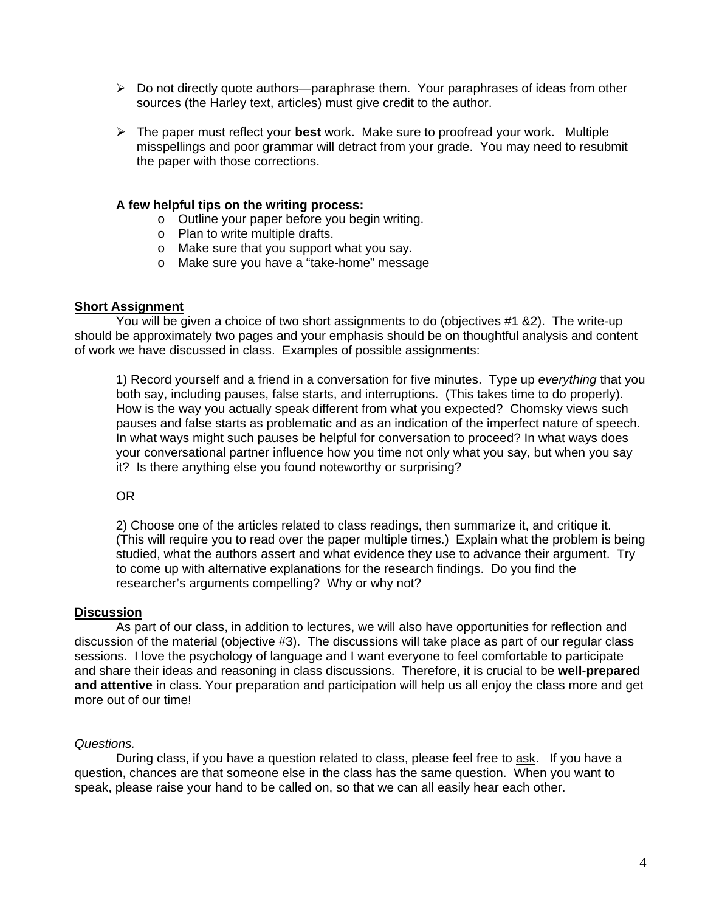- $\triangleright$  Do not directly quote authors—paraphrase them. Your paraphrases of ideas from other sources (the Harley text, articles) must give credit to the author.
- ¾ The paper must reflect your **best** work. Make sure to proofread your work. Multiple misspellings and poor grammar will detract from your grade. You may need to resubmit the paper with those corrections.

#### **A few helpful tips on the writing process:**

- o Outline your paper before you begin writing.
- o Plan to write multiple drafts.
- o Make sure that you support what you say.
- o Make sure you have a "take-home" message

## **Short Assignment**

 You will be given a choice of two short assignments to do (objectives #1 &2). The write-up should be approximately two pages and your emphasis should be on thoughtful analysis and content of work we have discussed in class. Examples of possible assignments:

1) Record yourself and a friend in a conversation for five minutes. Type up *everything* that you both say, including pauses, false starts, and interruptions. (This takes time to do properly). How is the way you actually speak different from what you expected? Chomsky views such pauses and false starts as problematic and as an indication of the imperfect nature of speech. In what ways might such pauses be helpful for conversation to proceed? In what ways does your conversational partner influence how you time not only what you say, but when you say it? Is there anything else you found noteworthy or surprising?

## OR

2) Choose one of the articles related to class readings, then summarize it, and critique it. (This will require you to read over the paper multiple times.) Explain what the problem is being studied, what the authors assert and what evidence they use to advance their argument. Try to come up with alternative explanations for the research findings. Do you find the researcher's arguments compelling? Why or why not?

#### **Discussion**

 As part of our class, in addition to lectures, we will also have opportunities for reflection and discussion of the material (objective #3). The discussions will take place as part of our regular class sessions. I love the psychology of language and I want everyone to feel comfortable to participate and share their ideas and reasoning in class discussions. Therefore, it is crucial to be **well-prepared and attentive** in class. Your preparation and participation will help us all enjoy the class more and get more out of our time!

## *Questions.*

During class, if you have a question related to class, please feel free to ask. If you have a question, chances are that someone else in the class has the same question. When you want to speak, please raise your hand to be called on, so that we can all easily hear each other.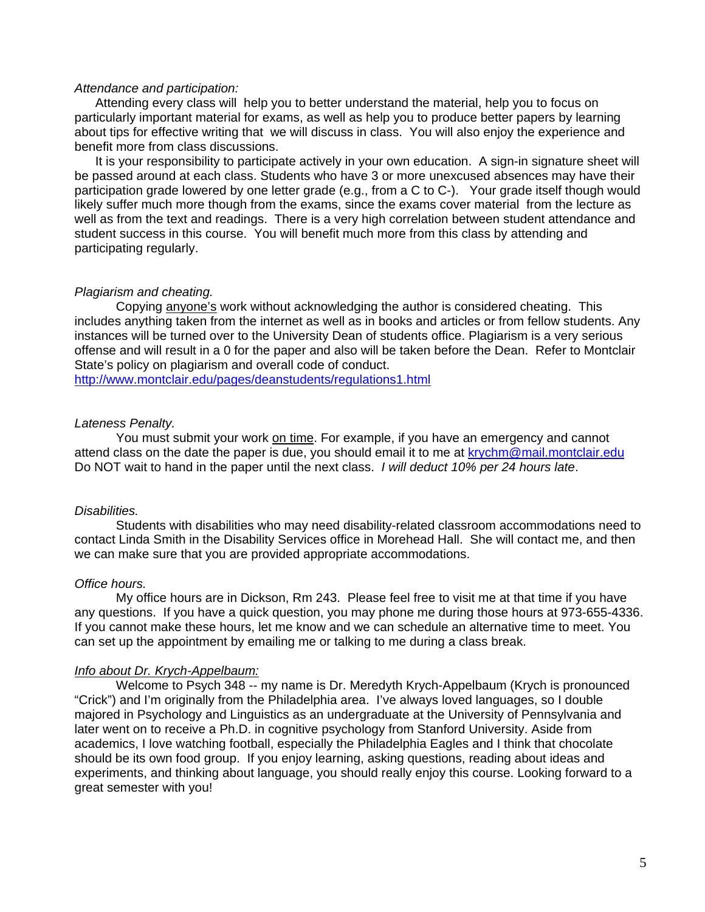#### *Attendance and participation:*

Attending every class will help you to better understand the material, help you to focus on particularly important material for exams, as well as help you to produce better papers by learning about tips for effective writing that we will discuss in class. You will also enjoy the experience and benefit more from class discussions.

It is your responsibility to participate actively in your own education. A sign-in signature sheet will be passed around at each class. Students who have 3 or more unexcused absences may have their participation grade lowered by one letter grade (e.g., from a C to C-). Your grade itself though would likely suffer much more though from the exams, since the exams cover material from the lecture as well as from the text and readings. There is a very high correlation between student attendance and student success in this course. You will benefit much more from this class by attending and participating regularly.

#### *Plagiarism and cheating.*

Copying anyone's work without acknowledging the author is considered cheating. This includes anything taken from the internet as well as in books and articles or from fellow students. Any instances will be turned over to the University Dean of students office. Plagiarism is a very serious offense and will result in a 0 for the paper and also will be taken before the Dean. Refer to Montclair State's policy on plagiarism and overall code of conduct.

http://www.montclair.edu/pages/deanstudents/regulations1.html

#### *Lateness Penalty.*

You must submit your work on time. For example, if you have an emergency and cannot attend class on the date the paper is due, you should email it to me at krychm@mail.montclair.edu Do NOT wait to hand in the paper until the next class. *I will deduct 10% per 24 hours late*.

#### *Disabilities.*

Students with disabilities who may need disability-related classroom accommodations need to contact Linda Smith in the Disability Services office in Morehead Hall. She will contact me, and then we can make sure that you are provided appropriate accommodations.

#### *Office hours.*

 My office hours are in Dickson, Rm 243. Please feel free to visit me at that time if you have any questions. If you have a quick question, you may phone me during those hours at 973-655-4336. If you cannot make these hours, let me know and we can schedule an alternative time to meet. You can set up the appointment by emailing me or talking to me during a class break.

## *Info about Dr. Krych-Appelbaum:*

Welcome to Psych 348 -- my name is Dr. Meredyth Krych-Appelbaum (Krych is pronounced "Crick") and I'm originally from the Philadelphia area. I've always loved languages, so I double majored in Psychology and Linguistics as an undergraduate at the University of Pennsylvania and later went on to receive a Ph.D. in cognitive psychology from Stanford University. Aside from academics, I love watching football, especially the Philadelphia Eagles and I think that chocolate should be its own food group. If you enjoy learning, asking questions, reading about ideas and experiments, and thinking about language, you should really enjoy this course. Looking forward to a great semester with you!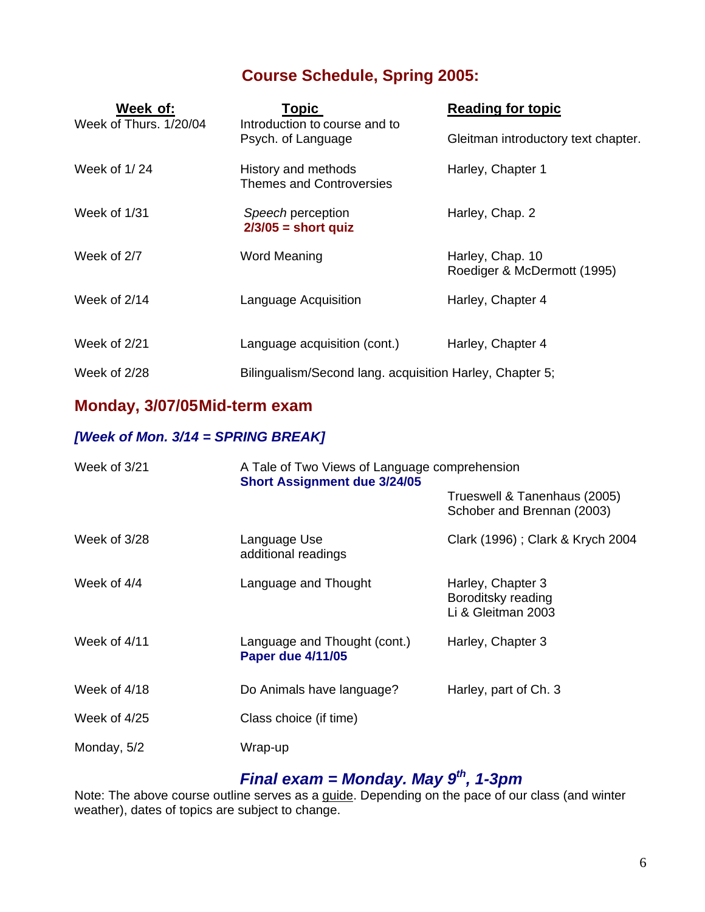## **Course Schedule, Spring 2005:**

| Week of:                                                                      | <b>Topic</b>                                             | <b>Reading for topic</b>                        |
|-------------------------------------------------------------------------------|----------------------------------------------------------|-------------------------------------------------|
| Week of Thurs, 1/20/04<br>Introduction to course and to<br>Psych. of Language | Gleitman introductory text chapter.                      |                                                 |
| Week of 1/24                                                                  | History and methods<br>Themes and Controversies          | Harley, Chapter 1                               |
| Week of 1/31                                                                  | Speech perception<br>$2/3/05$ = short quiz               | Harley, Chap. 2                                 |
| Week of 2/7                                                                   | <b>Word Meaning</b>                                      | Harley, Chap. 10<br>Roediger & McDermott (1995) |
| Week of $2/14$                                                                | Language Acquisition                                     | Harley, Chapter 4                               |
| Week of 2/21                                                                  | Language acquisition (cont.)                             | Harley, Chapter 4                               |
| Week of 2/28                                                                  | Bilingualism/Second lang. acquisition Harley, Chapter 5; |                                                 |

## **Monday, 3/07/05 Mid-term exam**

## *[Week of Mon. 3/14 = SPRING BREAK]*

| Week of $3/21$ | A Tale of Two Views of Language comprehension<br><b>Short Assignment due 3/24/05</b> |                                                               |
|----------------|--------------------------------------------------------------------------------------|---------------------------------------------------------------|
|                |                                                                                      | Trueswell & Tanenhaus (2005)<br>Schober and Brennan (2003)    |
| Week of 3/28   | Language Use<br>additional readings                                                  | Clark (1996); Clark & Krych 2004                              |
| Week of $4/4$  | Language and Thought                                                                 | Harley, Chapter 3<br>Boroditsky reading<br>Li & Gleitman 2003 |
| Week of $4/11$ | Language and Thought (cont.)<br><b>Paper due 4/11/05</b>                             | Harley, Chapter 3                                             |
| Week of 4/18   | Do Animals have language?                                                            | Harley, part of Ch. 3                                         |
| Week of $4/25$ | Class choice (if time)                                                               |                                                               |
| Monday, 5/2    | Wrap-up                                                                              |                                                               |

## *Final exam = Monday. May 9th, 1-3pm*

Note: The above course outline serves as a guide. Depending on the pace of our class (and winter weather), dates of topics are subject to change.